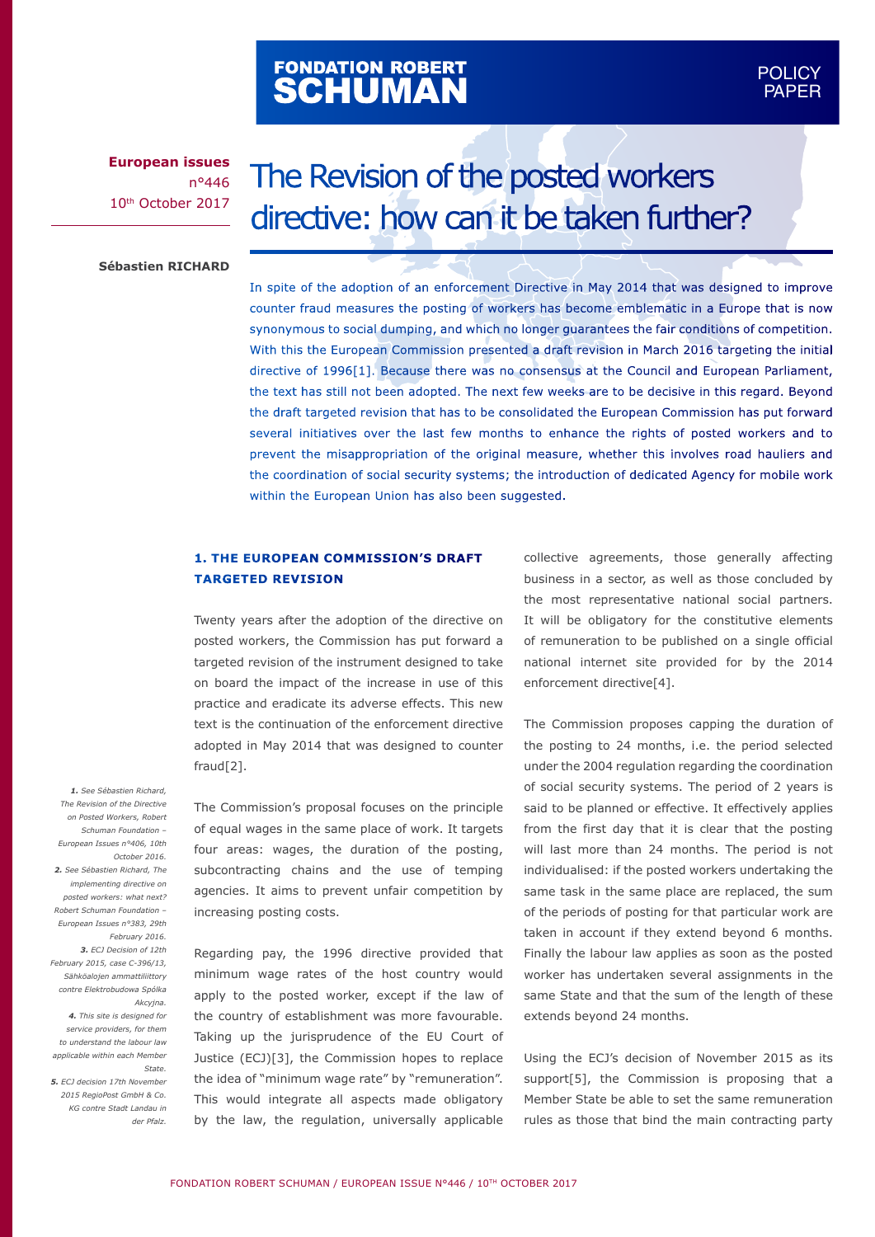# FONDATION ROBERT<br>**SCHUMAN**

### POLICY POLICY PAPER PAPER

**European issues** n°446 10th October 2017

## The Revision of the posted workers directive: how can it be taken further?

**Sébastien RICHARD**

In spite of the adoption of an enforcement Directive in May 2014 that was designed to improve counter fraud measures the posting of workers has become emblematic in a Europe that is now synonymous to social dumping, and which no longer guarantees the fair conditions of competition. With this the European Commission presented a draft revision in March 2016 targeting the initial directive of 1996[1]. Because there was no consensus at the Council and European Parliament, the text has still not been adopted. The next few weeks are to be decisive in this regard. Beyond the draft targeted revision that has to be consolidated the European Commission has put forward several initiatives over the last few months to enhance the rights of posted workers and to prevent the misappropriation of the original measure, whether this involves road hauliers and the coordination of social security systems; the introduction of dedicated Agency for mobile work within the European Union has also been suggested.

#### **1. THE EUROPEAN COMMISSION'S DRAFT TARGETED REVISION**

Twenty years after the adoption of the directive on posted workers, the Commission has put forward a targeted revision of the instrument designed to take on board the impact of the increase in use of this practice and eradicate its adverse effects. This new text is the continuation of the enforcement directive adopted in May 2014 that was designed to counter fraud[2].

The Commission's proposal focuses on the principle of equal wages in the same place of work. It targets four areas: wages, the duration of the posting, subcontracting chains and the use of temping agencies. It aims to prevent unfair competition by increasing posting costs.

Regarding pay, the 1996 directive provided that minimum wage rates of the host country would apply to the posted worker, except if the law of the country of establishment was more favourable. Taking up the jurisprudence of the EU Court of Justice (ECJ)[3], the Commission hopes to replace the idea of "minimum wage rate" by "remuneration". This would integrate all aspects made obligatory by the law, the regulation, universally applicable collective agreements, those generally affecting business in a sector, as well as those concluded by the most representative national social partners. It will be obligatory for the constitutive elements of remuneration to be published on a single official national internet site provided for by the 2014 enforcement directive[4].

The Commission proposes capping the duration of the posting to 24 months, i.e. the period selected under the 2004 regulation regarding the coordination of social security systems. The period of 2 years is said to be planned or effective. It effectively applies from the first day that it is clear that the posting will last more than 24 months. The period is not individualised: if the posted workers undertaking the same task in the same place are replaced, the sum of the periods of posting for that particular work are taken in account if they extend beyond 6 months. Finally the labour law applies as soon as the posted worker has undertaken several assignments in the same State and that the sum of the length of these extends beyond 24 months.

Using the ECJ's decision of November 2015 as its support[5], the Commission is proposing that a Member State be able to set the same remuneration rules as those that bind the main contracting party

*1. See Sébastien Richard, The Revision of the Directive on Posted Workers, Robert Schuman Foundation – European Issues n°406, 10th October 2016. 2. See Sébastien Richard, The implementing directive on posted workers: what next? Robert Schuman Foundation – European Issues n°383, 29th February 2016. 3. ECJ Decision of 12th February 2015, case C-396/13, Sähköalojen ammattiliittory contre Elektrobudowa Spólka Akcyjna. 4. This site is designed for service providers, for them to understand the labour law applicable within each Member State.*

*5. ECJ decision 17th November 2015 RegioPost GmbH & Co. KG contre Stadt Landau in der Pfalz.*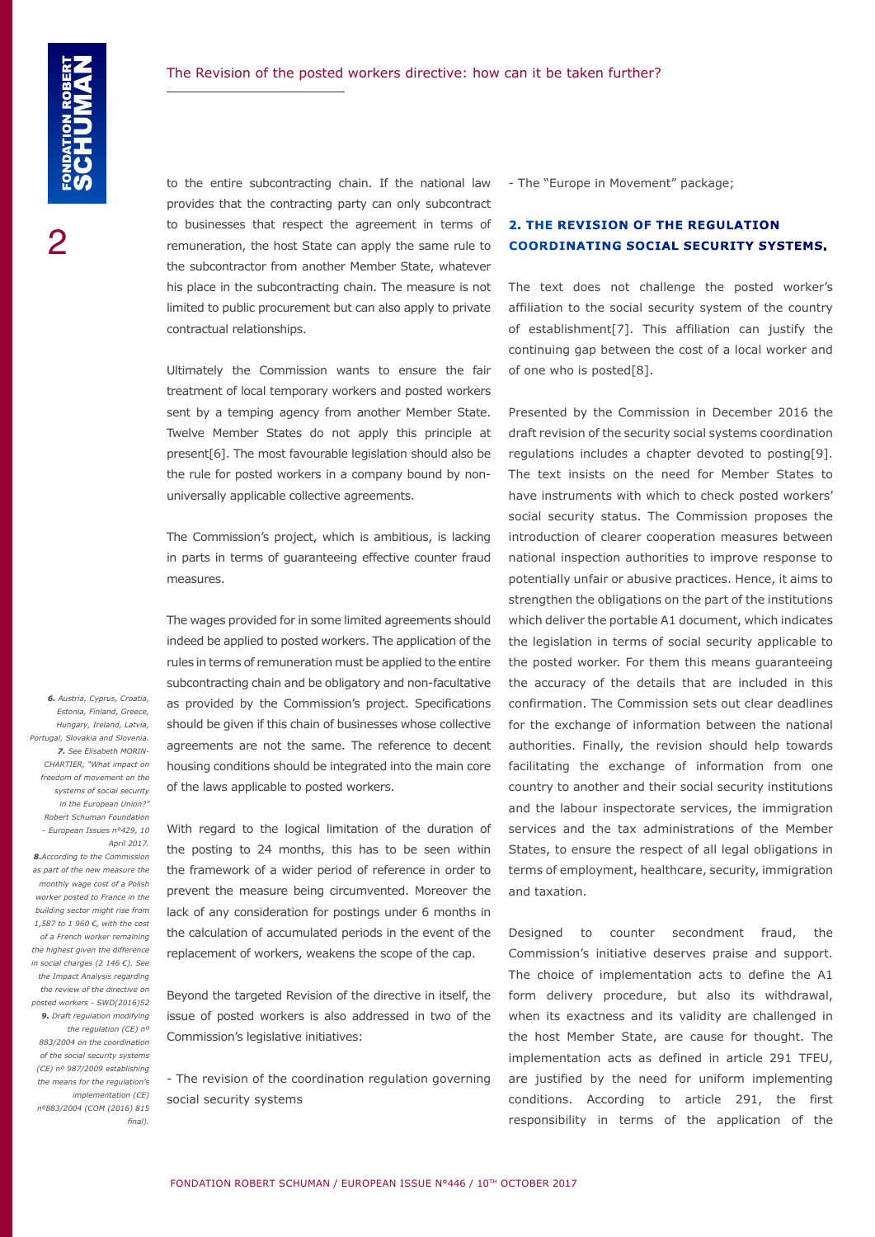to the entire subcontracting chain. If the national law provides that the contracting party can only subcontract to businesses that respect the agreement in terms of remuneration, the host State can apply the same rule to the subcontractor from another Member State, whatever his place in the subcontracting chain. The measure is not limited to public procurement but can also apply to private contractual relationships.

Ultimately the Commission wants to ensure the fair treatment of local temporary workers and posted workers sent by a temping agency from another Member State. Twelve Member States do not apply this principle at present[6]. The most favourable legislation should also be the rule for posted workers in a company bound by nonuniversally applicable collective agreements.

The Commission's project, which is ambitious, is lacking in parts in terms of guaranteeing effective counter fraud measures.

The wages provided for in some limited agreements should indeed be applied to posted workers. The application of the rules in terms of remuneration must be applied to the entire subcontracting chain and be obligatory and non-facultative as provided by the Commission's project. Specifications should be given if this chain of businesses whose collective agreements are not the same. The reference to decent housing conditions should be integrated into the main core of the laws applicable to posted workers.

With regard to the logical limitation of the duration of the posting to 24 months, this has to be seen within the framework of a wider period of reference in order to prevent the measure being circumvented. Moreover the lack of any consideration for postings under 6 months in the calculation of accumulated periods in the event of the replacement of workers, weakens the scope of the cap.

Beyond the targeted Revision of the directive in itself, the issue of posted workers is also addressed in two of the Commission's legislative initiatives:

- The revision of the coordination regulation governing social security systems

- The "Europe in Movement" package;

#### **2. THE REVISION OF THE REGULATION COORDINATING SOCIAL SECURITY SYSTEMS.**

The text does not challenge the posted worker's affiliation to the social security system of the country of establishment[7]. This affiliation can justify the continuing gap between the cost of a local worker and of one who is posted[8].

Presented by the Commission in December 2016 the draft revision of the security social systems coordination regulations includes a chapter devoted to posting[9]. The text insists on the need for Member States to have instruments with which to check posted workers' social security status. The Commission proposes the introduction of clearer cooperation measures between national inspection authorities to improve response to potentially unfair or abusive practices. Hence, it aims to strengthen the obligations on the part of the institutions which deliver the portable A1 document, which indicates the legislation in terms of social security applicable to the posted worker. For them this means guaranteeing the accuracy of the details that are included in this confirmation. The Commission sets out clear deadlines for the exchange of information between the national authorities. Finally, the revision should help towards facilitating the exchange of information from one country to another and their social security institutions and the labour inspectorate services, the immigration services and the tax administrations of the Member States, to ensure the respect of all legal obligations in terms of employment, healthcare, security, immigration and taxation.

Designed to counter secondment fraud, the Commission's initiative deserves praise and support. The choice of implementation acts to define the A1 form delivery procedure, but also its withdrawal, when its exactness and its validity are challenged in the host Member State, are cause for thought. The implementation acts as defined in article 291 TFEU, are justified by the need for uniform implementing conditions. According to article 291, the first responsibility in terms of the application of the

*6. Austria, Cyprus, Croatia, Estonia, Finland, Greece, Hungary, Ireland, Latvia, Portugal, Slovakia and Slovenia. 7. See Elisabeth MORIN-CHARTIER, "What impact on freedom of movement on the systems of social security in the European Union?" Robert Schuman Foundation – European Issues n°429, 10 April 2017. 8.According to the Commission as part of the new measure the monthly wage cost of a Polish worker posted to France in the building sector might rise from 1,587 to 1 960 €, with the cost of a French worker remaining the highest given the difference in social charges (2 146 €). See the Impact Analysis regarding the review of the directive on posted workers - SWD(2016)52 9. Draft regulation modifying the regulation (CE) nº 883/2004 on the coordination of the social security systems (CE) nº 987/2009 establishing the means for the regulation's implementation (CE) nº883/2004 (COM (2016) 815 final).*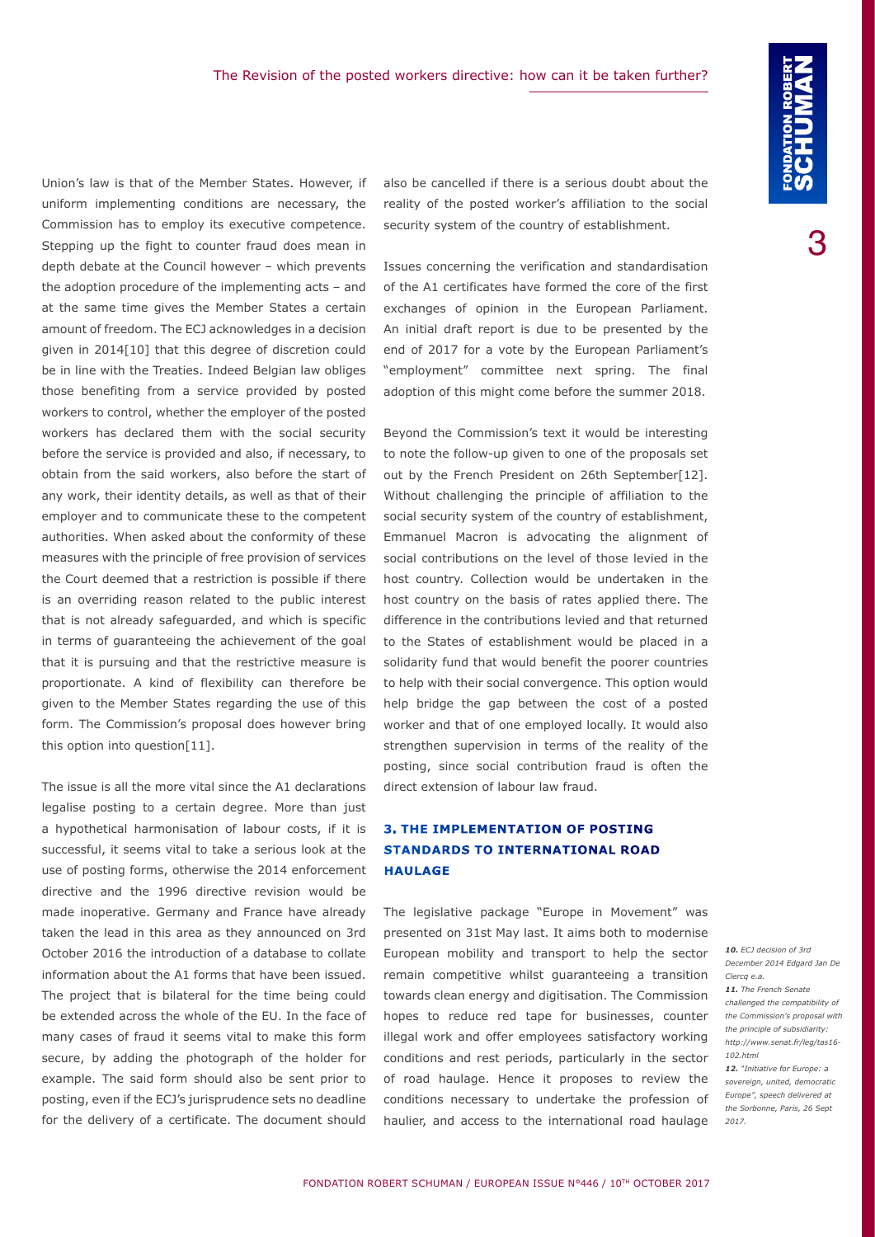Union's law is that of the Member States. However, if uniform implementing conditions are necessary, the Commission has to employ its executive competence. Stepping up the fight to counter fraud does mean in depth debate at the Council however – which prevents the adoption procedure of the implementing acts – and at the same time gives the Member States a certain amount of freedom. The ECJ acknowledges in a decision given in 2014[10] that this degree of discretion could be in line with the Treaties. Indeed Belgian law obliges those benefiting from a service provided by posted workers to control, whether the employer of the posted workers has declared them with the social security before the service is provided and also, if necessary, to obtain from the said workers, also before the start of any work, their identity details, as well as that of their employer and to communicate these to the competent authorities. When asked about the conformity of these measures with the principle of free provision of services the Court deemed that a restriction is possible if there is an overriding reason related to the public interest that is not already safeguarded, and which is specific in terms of guaranteeing the achievement of the goal that it is pursuing and that the restrictive measure is proportionate. A kind of flexibility can therefore be given to the Member States regarding the use of this form. The Commission's proposal does however bring this option into question[11].

The issue is all the more vital since the A1 declarations legalise posting to a certain degree. More than just a hypothetical harmonisation of labour costs, if it is successful, it seems vital to take a serious look at the use of posting forms, otherwise the 2014 enforcement directive and the 1996 directive revision would be made inoperative. Germany and France have already taken the lead in this area as they announced on 3rd October 2016 the introduction of a database to collate information about the A1 forms that have been issued. The project that is bilateral for the time being could be extended across the whole of the EU. In the face of many cases of fraud it seems vital to make this form secure, by adding the photograph of the holder for example. The said form should also be sent prior to posting, even if the ECJ's jurisprudence sets no deadline for the delivery of a certificate. The document should

also be cancelled if there is a serious doubt about the reality of the posted worker's affiliation to the social security system of the country of establishment.

Issues concerning the verification and standardisation of the A1 certificates have formed the core of the first exchanges of opinion in the European Parliament. An initial draft report is due to be presented by the end of 2017 for a vote by the European Parliament's "employment" committee next spring. The final adoption of this might come before the summer 2018.

Beyond the Commission's text it would be interesting to note the follow-up given to one of the proposals set out by the French President on 26th September[12]. Without challenging the principle of affiliation to the social security system of the country of establishment, Emmanuel Macron is advocating the alignment of social contributions on the level of those levied in the host country. Collection would be undertaken in the host country on the basis of rates applied there. The difference in the contributions levied and that returned to the States of establishment would be placed in a solidarity fund that would benefit the poorer countries to help with their social convergence. This option would help bridge the gap between the cost of a posted worker and that of one employed locally. It would also strengthen supervision in terms of the reality of the posting, since social contribution fraud is often the direct extension of labour law fraud.

#### **3. THE IMPLEMENTATION OF POSTING STANDARDS TO INTERNATIONAL ROAD HAULAGE**

The legislative package "Europe in Movement" was presented on 31st May last. It aims both to modernise European mobility and transport to help the sector remain competitive whilst guaranteeing a transition towards clean energy and digitisation. The Commission hopes to reduce red tape for businesses, counter illegal work and offer employees satisfactory working conditions and rest periods, particularly in the sector of road haulage. Hence it proposes to review the conditions necessary to undertake the profession of haulier, and access to the international road haulage

*10. ECJ decision of 3rd December 2014 Edgard Jan De Clercq e.a. 11. The French Senate challenged the compatibility of the Commission's proposal with the principle of subsidiarity: http://www.senat.fr/leg/tas16- 102.html* 

*12. "Initiative for Europe: a sovereign, united, democratic Europe", speech delivered at the Sorbonne, Paris, 26 Sept 2017.*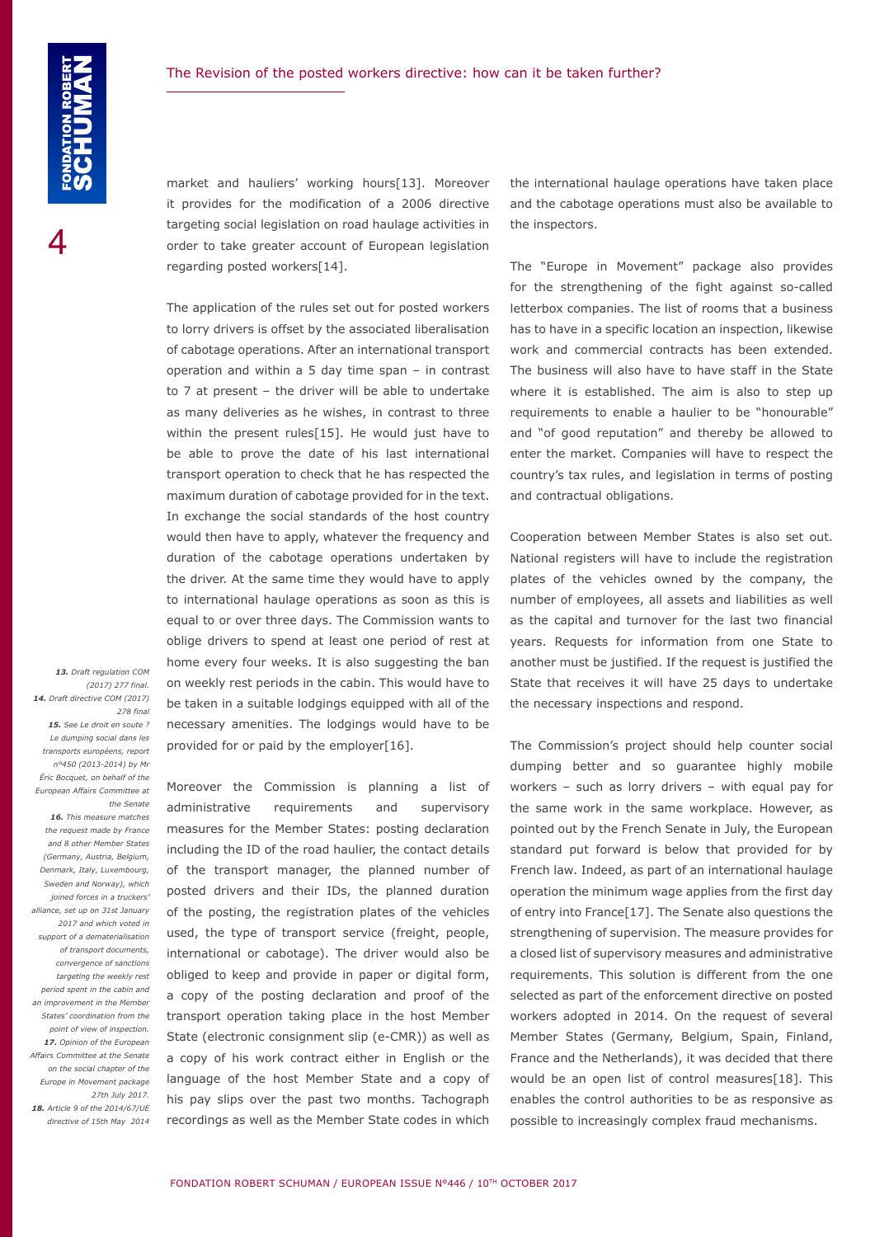market and hauliers' working hours[13]. Moreover it provides for the modification of a 2006 directive targeting social legislation on road haulage activities in order to take greater account of European legislation regarding posted workers[14].

The application of the rules set out for posted workers to lorry drivers is offset by the associated liberalisation of cabotage operations. After an international transport operation and within a 5 day time span – in contrast to 7 at present – the driver will be able to undertake as many deliveries as he wishes, in contrast to three within the present rules[15]. He would just have to be able to prove the date of his last international transport operation to check that he has respected the maximum duration of cabotage provided for in the text. In exchange the social standards of the host country would then have to apply, whatever the frequency and duration of the cabotage operations undertaken by the driver. At the same time they would have to apply to international haulage operations as soon as this is equal to or over three days. The Commission wants to oblige drivers to spend at least one period of rest at home every four weeks. It is also suggesting the ban on weekly rest periods in the cabin. This would have to be taken in a suitable lodgings equipped with all of the necessary amenities. The lodgings would have to be provided for or paid by the employer[16].

*278 final 15. See Le droit en soute ? Le dumping social dans les transports européens, report n°450 (2013-2014) by Mr Éric Bocquet, on behalf of the European Affairs Committee at the Senate 16. This measure matches the request made by France and 8 other Member States (Germany, Austria, Belgium, Denmark, Italy, Luxembourg, Sweden and Norway), which joined forces in a truckers' alliance, set up on 31st January 2017 and which voted in support of a dematerialisation of transport documents, convergence of sanctions targeting the weekly rest period spent in the cabin and an improvement in the Member States' coordination from the point of view of inspection. 17. Opinion of the European Affairs Committee at the Senate on the social chapter of the Europe in Movement package 27th July 2017. 18. Article 9 of the 2014/67/UE directive of 15th May 2014*

*13. Draft regulation COM (2017) 277 final. 14. Draft directive COM (2017)* 

> Moreover the Commission is planning a list of administrative requirements and supervisory measures for the Member States: posting declaration including the ID of the road haulier, the contact details of the transport manager, the planned number of posted drivers and their IDs, the planned duration of the posting, the registration plates of the vehicles used, the type of transport service (freight, people, international or cabotage). The driver would also be obliged to keep and provide in paper or digital form, a copy of the posting declaration and proof of the transport operation taking place in the host Member State (electronic consignment slip (e-CMR)) as well as a copy of his work contract either in English or the language of the host Member State and a copy of his pay slips over the past two months. Tachograph recordings as well as the Member State codes in which

the international haulage operations have taken place and the cabotage operations must also be available to the inspectors.

The "Europe in Movement" package also provides for the strengthening of the fight against so-called letterbox companies. The list of rooms that a business has to have in a specific location an inspection, likewise work and commercial contracts has been extended. The business will also have to have staff in the State where it is established. The aim is also to step up requirements to enable a haulier to be "honourable" and "of good reputation" and thereby be allowed to enter the market. Companies will have to respect the country's tax rules, and legislation in terms of posting and contractual obligations.

Cooperation between Member States is also set out. National registers will have to include the registration plates of the vehicles owned by the company, the number of employees, all assets and liabilities as well as the capital and turnover for the last two financial years. Requests for information from one State to another must be justified. If the request is justified the State that receives it will have 25 days to undertake the necessary inspections and respond.

The Commission's project should help counter social dumping better and so guarantee highly mobile workers – such as lorry drivers – with equal pay for the same work in the same workplace. However, as pointed out by the French Senate in July, the European standard put forward is below that provided for by French law. Indeed, as part of an international haulage operation the minimum wage applies from the first day of entry into France[17]. The Senate also questions the strengthening of supervision. The measure provides for a closed list of supervisory measures and administrative requirements. This solution is different from the one selected as part of the enforcement directive on posted workers adopted in 2014. On the request of several Member States (Germany, Belgium, Spain, Finland, France and the Netherlands), it was decided that there would be an open list of control measures[18]. This enables the control authorities to be as responsive as possible to increasingly complex fraud mechanisms.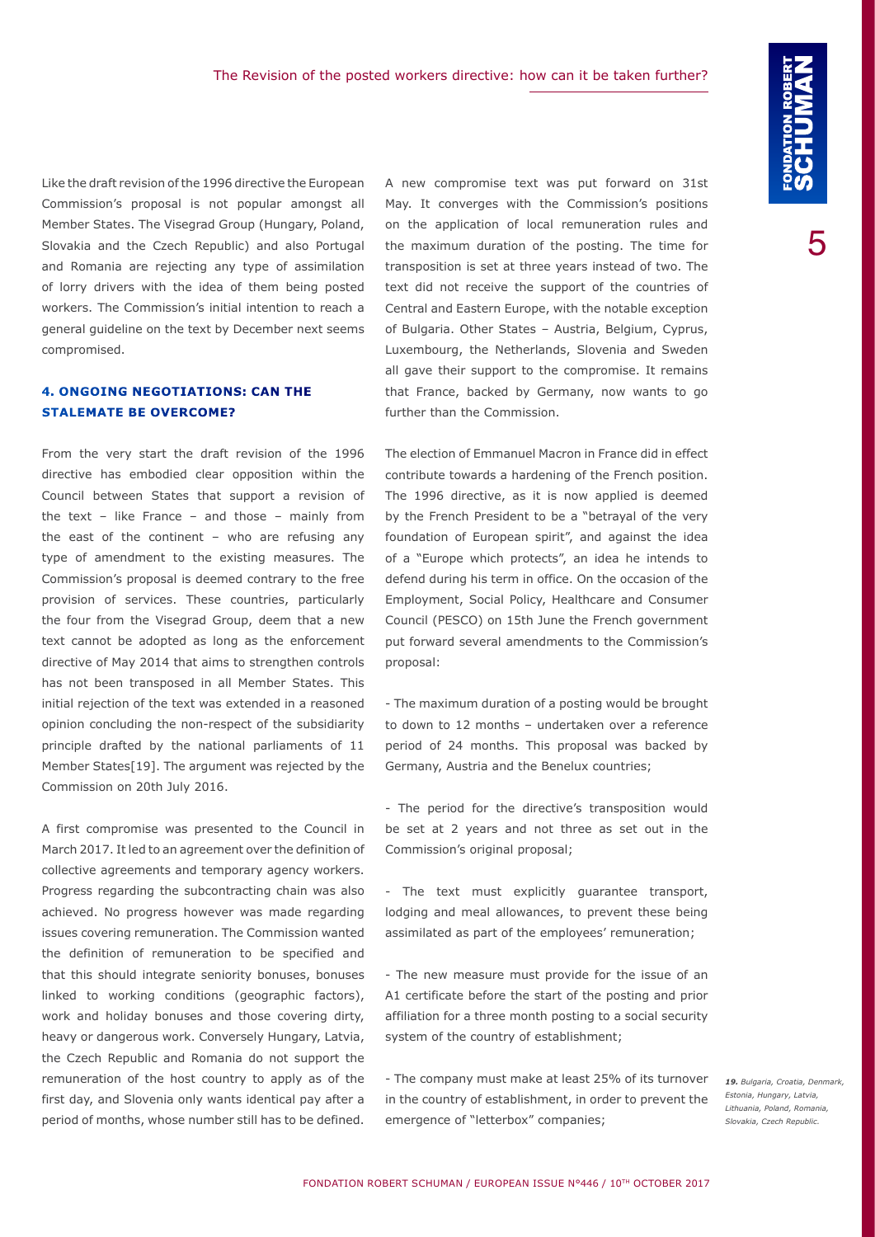Like the draft revision of the 1996 directive the European Commission's proposal is not popular amongst all Member States. The Visegrad Group (Hungary, Poland, Slovakia and the Czech Republic) and also Portugal and Romania are rejecting any type of assimilation of lorry drivers with the idea of them being posted workers. The Commission's initial intention to reach a general guideline on the text by December next seems compromised.

#### **4. ONGOING NEGOTIATIONS: CAN THE STALEMATE BE OVERCOME?**

From the very start the draft revision of the 1996 directive has embodied clear opposition within the Council between States that support a revision of the text – like France – and those – mainly from the east of the continent – who are refusing any type of amendment to the existing measures. The Commission's proposal is deemed contrary to the free provision of services. These countries, particularly the four from the Visegrad Group, deem that a new text cannot be adopted as long as the enforcement directive of May 2014 that aims to strengthen controls has not been transposed in all Member States. This initial rejection of the text was extended in a reasoned opinion concluding the non-respect of the subsidiarity principle drafted by the national parliaments of 11 Member States[19]. The argument was rejected by the Commission on 20th July 2016.

A first compromise was presented to the Council in March 2017. It led to an agreement over the definition of collective agreements and temporary agency workers. Progress regarding the subcontracting chain was also achieved. No progress however was made regarding issues covering remuneration. The Commission wanted the definition of remuneration to be specified and that this should integrate seniority bonuses, bonuses linked to working conditions (geographic factors), work and holiday bonuses and those covering dirty, heavy or dangerous work. Conversely Hungary, Latvia, the Czech Republic and Romania do not support the remuneration of the host country to apply as of the first day, and Slovenia only wants identical pay after a period of months, whose number still has to be defined.

A new compromise text was put forward on 31st May. It converges with the Commission's positions on the application of local remuneration rules and the maximum duration of the posting. The time for transposition is set at three years instead of two. The text did not receive the support of the countries of Central and Eastern Europe, with the notable exception of Bulgaria. Other States – Austria, Belgium, Cyprus, Luxembourg, the Netherlands, Slovenia and Sweden all gave their support to the compromise. It remains that France, backed by Germany, now wants to go further than the Commission.

The election of Emmanuel Macron in France did in effect contribute towards a hardening of the French position. The 1996 directive, as it is now applied is deemed by the French President to be a "betrayal of the very foundation of European spirit", and against the idea of a "Europe which protects", an idea he intends to defend during his term in office. On the occasion of the Employment, Social Policy, Healthcare and Consumer Council (PESCO) on 15th June the French government put forward several amendments to the Commission's proposal:

- The maximum duration of a posting would be brought to down to 12 months – undertaken over a reference period of 24 months. This proposal was backed by Germany, Austria and the Benelux countries;

- The period for the directive's transposition would be set at 2 years and not three as set out in the Commission's original proposal;

- The text must explicitly guarantee transport, lodging and meal allowances, to prevent these being assimilated as part of the employees' remuneration;

- The new measure must provide for the issue of an A1 certificate before the start of the posting and prior affiliation for a three month posting to a social security system of the country of establishment;

- The company must make at least 25% of its turnover in the country of establishment, in order to prevent the emergence of "letterbox" companies;

*19. Bulgaria, Croatia, Denmark, Estonia, Hungary, Latvia, Lithuania, Poland, Romania, Slovakia, Czech Republic.*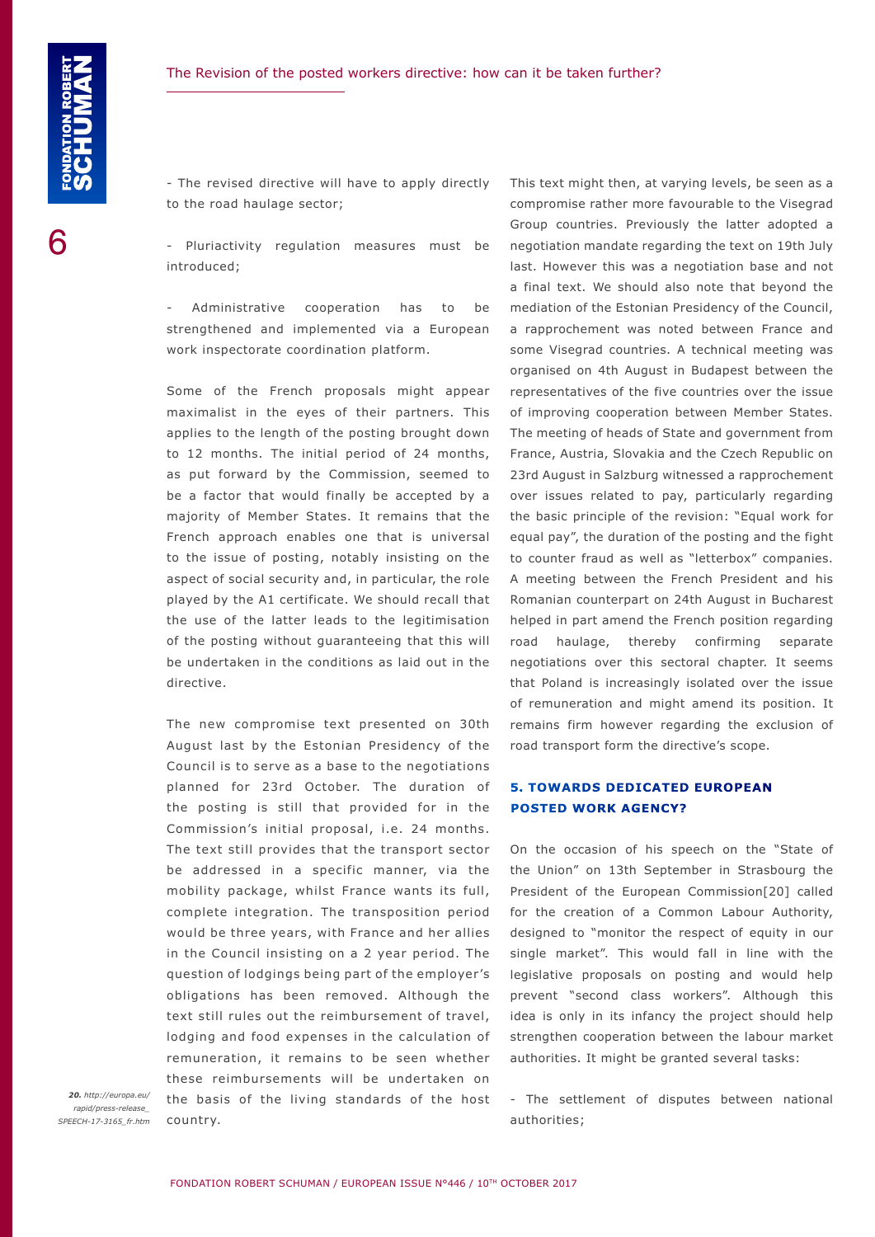- The revised directive will have to apply directly to the road haulage sector;

Pluriactivity regulation measures must be introduced;

Administrative cooperation has to be strengthened and implemented via a European work inspectorate coordination platform.

Some of the French proposals might appear maximalist in the eyes of their partners. This applies to the length of the posting brought down to 12 months. The initial period of 24 months, as put forward by the Commission, seemed to be a factor that would finally be accepted by a majority of Member States. It remains that the French approach enables one that is universal to the issue of posting, notably insisting on the aspect of social security and, in particular, the role played by the A1 certificate. We should recall that the use of the latter leads to the legitimisation of the posting without guaranteeing that this will be undertaken in the conditions as laid out in the directive.

The new compromise text presented on 30th August last by the Estonian Presidency of the Council is to serve as a base to the negotiations planned for 23rd October. The duration of the posting is still that provided for in the Commission's initial proposal, i.e. 24 months. The text still provides that the transport sector be addressed in a specific manner, via the mobility package, whilst France wants its full, complete integration. The transposition period would be three years, with France and her allies in the Council insisting on a 2 year period. The question of lodgings being part of the employer's obligations has been removed. Although the text still rules out the reimbursement of travel, lodging and food expenses in the calculation of remuneration, it remains to be seen whether these reimbursements will be undertaken on the basis of the living standards of the host country.

*20. http://europa.eu/ rapid/press-release\_ SPEECH-17-3165\_fr.htm* This text might then, at varying levels, be seen as a compromise rather more favourable to the Visegrad Group countries. Previously the latter adopted a negotiation mandate regarding the text on 19th July last. However this was a negotiation base and not a final text. We should also note that beyond the mediation of the Estonian Presidency of the Council, a rapprochement was noted between France and some Visegrad countries. A technical meeting was organised on 4th August in Budapest between the representatives of the five countries over the issue of improving cooperation between Member States. The meeting of heads of State and government from France, Austria, Slovakia and the Czech Republic on 23rd August in Salzburg witnessed a rapprochement over issues related to pay, particularly regarding the basic principle of the revision: "Equal work for equal pay", the duration of the posting and the fight to counter fraud as well as "letterbox" companies. A meeting between the French President and his Romanian counterpart on 24th August in Bucharest helped in part amend the French position regarding road haulage, thereby confirming separate negotiations over this sectoral chapter. It seems that Poland is increasingly isolated over the issue of remuneration and might amend its position. It remains firm however regarding the exclusion of road transport form the directive's scope.

#### **5. TOWARDS DEDICATED EUROPEAN POSTED WORK AGENCY?**

On the occasion of his speech on the "State of the Union" on 13th September in Strasbourg the President of the European Commission[20] called for the creation of a Common Labour Authority, designed to "monitor the respect of equity in our single market". This would fall in line with the legislative proposals on posting and would help prevent "second class workers". Although this idea is only in its infancy the project should help strengthen cooperation between the labour market authorities. It might be granted several tasks:

- The settlement of disputes between national authorities;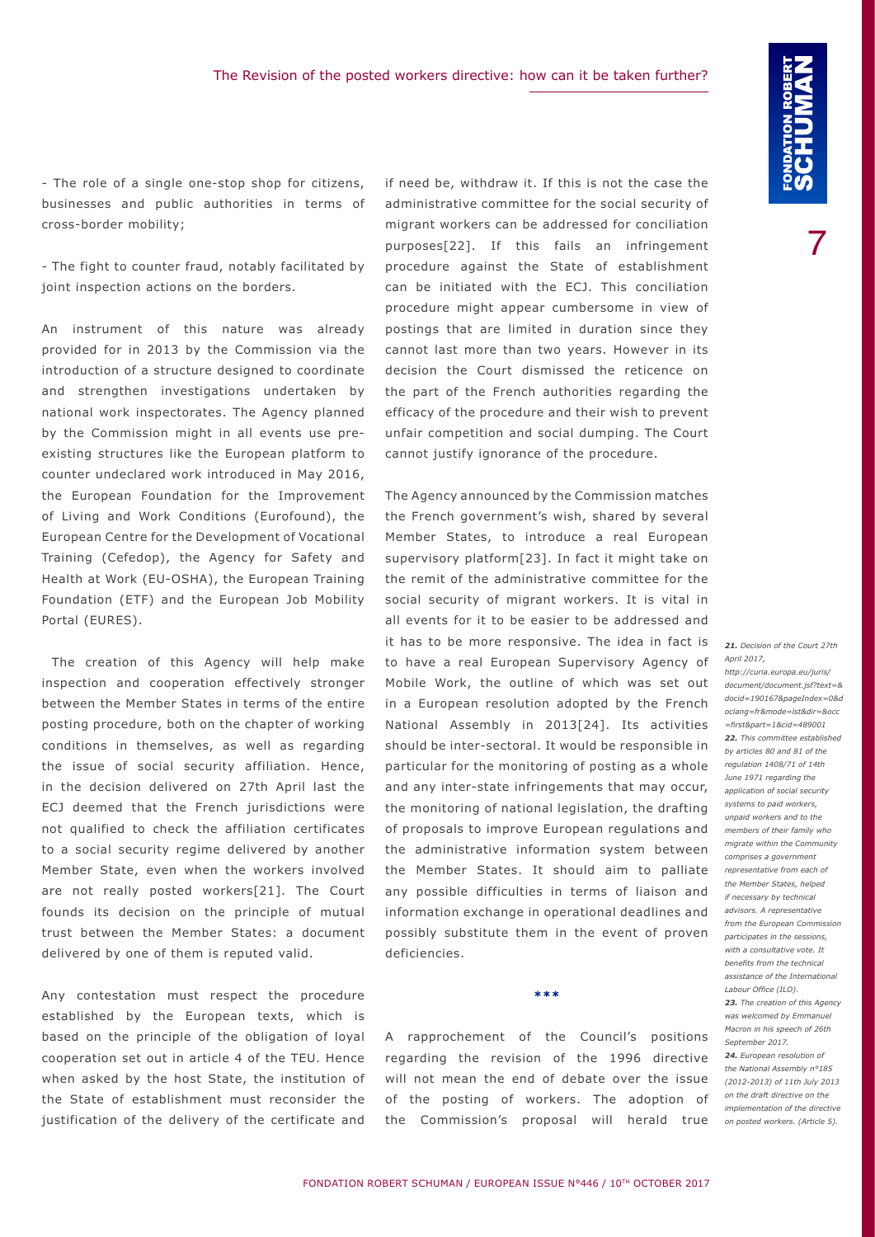- The role of a single one-stop shop for citizens, businesses and public authorities in terms of cross-border mobility;

- The fight to counter fraud, notably facilitated by joint inspection actions on the borders.

An instrument of this nature was already provided for in 2013 by the Commission via the introduction of a structure designed to coordinate and strengthen investigations undertaken by national work inspectorates. The Agency planned by the Commission might in all events use preexisting structures like the European platform to counter undeclared work introduced in May 2016, the European Foundation for the Improvement of Living and Work Conditions (Eurofound), the European Centre for the Development of Vocational Training (Cefedop), the Agency for Safety and Health at Work (EU-OSHA), the European Training Foundation (ETF) and the European Job Mobility Portal (EURES).

The creation of this Agency will help make inspection and cooperation effectively stronger between the Member States in terms of the entire posting procedure, both on the chapter of working conditions in themselves, as well as regarding the issue of social security affiliation. Hence, in the decision delivered on 27th April last the ECJ deemed that the French jurisdictions were not qualified to check the affiliation certificates to a social security regime delivered by another Member State, even when the workers involved are not really posted workers[21]. The Court founds its decision on the principle of mutual trust between the Member States: a document delivered by one of them is reputed valid.

Any contestation must respect the procedure established by the European texts, which is based on the principle of the obligation of loyal cooperation set out in article 4 of the TEU. Hence when asked by the host State, the institution of the State of establishment must reconsider the justification of the delivery of the certificate and

if need be, withdraw it. If this is not the case the administrative committee for the social security of migrant workers can be addressed for conciliation purposes[22]. If this fails an infringement procedure against the State of establishment can be initiated with the ECJ. This conciliation procedure might appear cumbersome in view of postings that are limited in duration since they cannot last more than two years. However in its decision the Court dismissed the reticence on the part of the French authorities regarding the efficacy of the procedure and their wish to prevent unfair competition and social dumping. The Court cannot justify ignorance of the procedure.

The Agency announced by the Commission matches the French government's wish, shared by several Member States, to introduce a real European supervisory platform[23]. In fact it might take on the remit of the administrative committee for the social security of migrant workers. It is vital in all events for it to be easier to be addressed and it has to be more responsive. The idea in fact is to have a real European Supervisory Agency of Mobile Work, the outline of which was set out in a European resolution adopted by the French National Assembly in 2013[24]. Its activities should be inter-sectoral. It would be responsible in particular for the monitoring of posting as a whole and any inter-state infringements that may occur, the monitoring of national legislation, the drafting of proposals to improve European regulations and the administrative information system between the Member States. It should aim to palliate any possible difficulties in terms of liaison and information exchange in operational deadlines and possibly substitute them in the event of proven deficiencies.

A rapprochement of the Council's positions regarding the revision of the 1996 directive will not mean the end of debate over the issue of the posting of workers. The adoption of the Commission's proposal will herald true

**\*\*\***

*21. Decision of the Court 27th April 2017,*

*http://curia.europa.eu/juris/ document/document.jsf?text=& docid=190167&pageIndex=0&d oclang=fr&mode=lst&dir=&occ =first&part=1&cid=489001 22. This committee established by articles 80 and 81 of the regulation 1408/71 of 14th June 1971 regarding the application of social security systems to paid workers, unpaid workers and to the members of their family who migrate within the Community comprises a government representative from each of the Member States, helped if necessary by technical advisors. A representative from the European Commission participates in the sessions, with a consultative vote. It benefits from the technical assistance of the International Labour Office (ILO). 23. The creation of this Agency was welcomed by Emmanuel Macron in his speech of 26th September 2017. 24. European resolution of the National Assembly n°185 (2012-2013) of 11th July 2013 on the draft directive on the implementation of the directive on posted workers. (Article 5).*